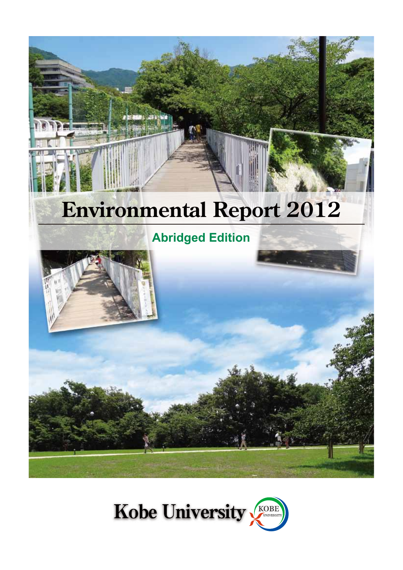# **Environmental Report 2012**

# **Abridged Edition**





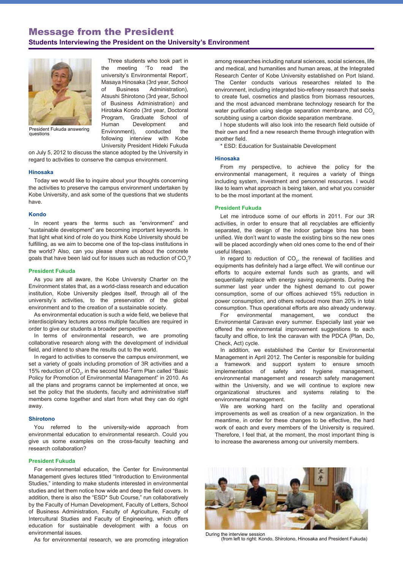### Message from the President **Students Interviewing the President on the University's Environment**



 Three students who took part in the meeting 'To read the university's Environmental Report', Masaya Hinosaka (3rd year, School of Business Administration), Atsushi Shirotono (3rd year, School of Business Administration) and Hirotaka Kondo (3rd year, Doctoral Program, Graduate School of Human Development and Environment), conducted the following interview with Kobe University President Hideki Fukuda

President Fukuda answering questions

on July 5, 2012 to discuss the stance adopted by the University in regard to activities to conserve the campus environment.

#### **Hinosaka**

Today we would like to inquire about your thoughts concerning the activities to preserve the campus environment undertaken by Kobe University, and ask some of the questions that we students have.

#### **Kondo**

In recent years the terms such as "environment" and "sustainable development" are becoming important keywords. In that light what kind of role do you think Kobe University should be fulfilling, as we aim to become one of the top-class institutions in the world? Also, can you please share us about the concrete goals that have been laid out for issues such as reduction of CO<sub>2</sub>?

#### **President Fukuda**

As you are all aware, the Kobe University Charter on the Environment states that, as a world-class research and education institution, Kobe University pledges itself, through all of the university's activities, to the preservation of the global environment and to the creation of a sustainable society.

As environmental education is such a wide field, we believe that interdisciplinary lectures across multiple faculties are required in order to give our students a broader perspective.

In terms of environmental research, we are promoting collaborative research along with the development of individual field, and intend to share the results out to the world.

In regard to activities to conserve the campus environment, we set a variety of goals including promotion of 3R activities and a 15% reduction of  $CO<sub>2</sub>$ , in the second Mid-Term Plan called "Basic Policy for Promotion of Environmental Management" in 2010. As all the plans and programs cannot be implemented at once, we set the policy that the students, faculty and administrative staff members come together and start from what they can do right away.

#### **Shirotono**

You referred to the university-wide approach from environmental education to environmental research. Could you give us some examples on the cross-faculty teaching and research collaboration?

#### **President Fukuda**

For environmental education, the Center for Environmental Management gives lectures titled "Introduction to Environmental Studies," intending to make students interested in environmental studies and let them notice how wide and deep the field covers. In addition, there is also the "ESD\* Sub Course," run collaboratively by the Faculty of Human Development, Faculty of Letters, School of Business Administration, Faculty of Agriculture, Faculty of Intercultural Studies and Faculty of Engineering, which offers education for sustainable development with a focus on environmental issues.

As for environmental research, we are promoting integration

among researches including natural sciences, social sciences, life and medical, and humanities and human areas, at the Integrated Research Center of Kobe University established on Port Island. The Center conducts various researches related to the environment, including integrated bio-refinery research that seeks to create fuel, cosmetics and plastics from biomass resources, and the most advanced membrane technology research for the water purification using sledge separation membrane, and CO<sub>2</sub> scrubbing using a carbon dioxide separation membrane.

I hope students will also look into the research field outside of their own and find a new research theme through integration with another field.

\* ESD: Education for Sustainable Development

#### **Hinosaka**

From my perspective, to achieve the policy for the environmental management, it requires a variety of things including system, investment and personnel resources. I would like to learn what approach is being taken, and what you consider to be the most important at the moment.

#### **President Fukuda**

Let me introduce some of our efforts in 2011. For our 3R activities, in order to ensure that all recyclables are efficiently separated, the design of the indoor garbage bins has been unified. We don't want to waste the existing bins so the new ones will be placed accordingly when old ones come to the end of their useful lifespan.

In regard to reduction of  $CO<sub>2</sub>$ , the renewal of facilities and equipments has definitely had a large effect. We will continue our efforts to acquire external funds such as grants, and will sequentially replace with energy saving equipments. During the summer last year under the highest demand to cut power consumption, some of our offices achieved 15% reduction in power consumption, and others reduced more than 20% in total consumption. Thus operational efforts are also already underway.

For environmental management, we conduct the Environmental Caravan every summer. Especially last year we offered the environmental improvement suggestions to each faculty and office, to link the caravan with the PDCA (Plan, Do, Check, Act) cycle.

In addition, we established the Center for Environmental Management in April 2012. The Center is responsible for building a framework and support system to ensure smooth implementation of safety and hygiene management, environmental management and research safety management within the University, and we will continue to explore new organizational structures and systems relating to the environmental management.

We are working hard on the facility and operational improvements as well as creation of a new organization. In the meantime, in order for these changes to be effective, the hard work of each and every members of the University is required. Therefore, I feel that, at the moment, the most important thing is to increase the awareness among our university members.



(from left to right: Kondo, Shirotono, Hinosaka and President Fukuda)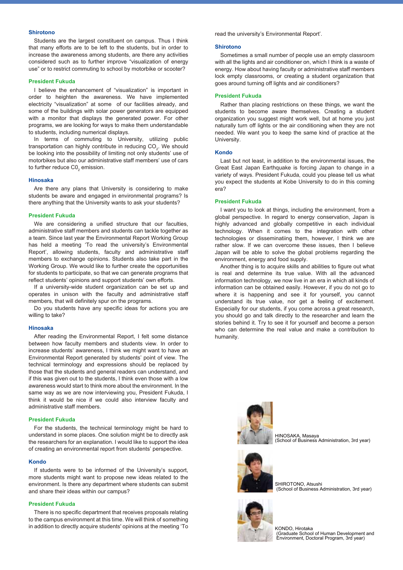#### **Shirotono**

Students are the largest constituent on campus. Thus I think that many efforts are to be left to the students, but in order to increase the awareness among students, are there any activities considered such as to further improve "visualization of energy use" or to restrict commuting to school by motorbike or scooter?

#### **President Fukuda**

I believe the enhancement of "visualization" is important in order to heighten the awareness. We have implemented electricity "visualization" at some of our facilities already, and some of the buildings with solar power generators are equipped with a monitor that displays the generated power. For other programs, we are looking for ways to make them understandable to students, including numerical displays.

In terms of commuting to University, utilizing public transportation can highly contribute in reducing CO<sub>2</sub>. We should be looking into the possibility of limiting not only students' use of motorbikes but also our administrative staff members' use of cars to further reduce C0 $_2$  emission.

#### **Hinosaka**

Are there any plans that University is considering to make students be aware and engaged in environmental programs? Is there anything that the University wants to ask your students?

#### **President Fukuda**

We are considering a unified structure that our faculties, administrative staff members and students can tackle together as a team. Since last year the Environmental Report Working Group has held a meeting 'To read the university's Environmental Report', allowing students, faculty and administrative staff members to exchange opinions. Students also take part in the Working Group. We would like to further create the opportunities for students to participate, so that we can generate programs that reflect students' opinions and support students' own efforts.

If a university-wide student organization can be set up and operates in unison with the faculty and administrative staff members, that will definitely spur on the programs.

Do you students have any specific ideas for actions you are willing to take?

#### **Hinosaka**

After reading the Environmental Report, I felt some distance between how faculty members and students view. In order to increase students' awareness, I think we might want to have an Environmental Report generated by students' point of view. The technical terminology and expressions should be replaced by those that the students and general readers can understand, and if this was given out to the students, I think even those with a low awareness would start to think more about the environment. In the same way as we are now interviewing you, President Fukuda, I think it would be nice if we could also interview faculty and administrative staff members.

#### **President Fukuda**

For the students, the technical terminology might be hard to understand in some places. One solution might be to directly ask the researchers for an explanation. I would like to support the idea of creating an environmental report from students' perspective.

#### **Kondo**

If students were to be informed of the University's support, more students might want to propose new ideas related to the environment. Is there any department where students can submit and share their ideas within our campus?

#### **President Fukuda**

There is no specific department that receives proposals relating to the campus environment at this time. We will think of something in addition to directly acquire students' opinions at the meeting 'To read the university's Environmental Report'.

#### **Shirotono**

Sometimes a small number of people use an empty classroom with all the lights and air conditioner on, which I think is a waste of energy. How about having faculty or administrative staff members lock empty classrooms, or creating a student organization that goes around turning off lights and air conditioners?

#### **President Fukuda**

Rather than placing restrictions on these things, we want the students to become aware themselves. Creating a student organization you suggest might work well, but at home you just naturally turn off lights or the air conditioning when they are not needed. We want you to keep the same kind of practice at the University.

#### **Kondo**

Last but not least, in addition to the environmental issues, the Great East Japan Earthquake is forcing Japan to change in a variety of ways. President Fukuda, could you please tell us what you expect the students at Kobe University to do in this coming era?

#### **President Fukuda**

I want you to look at things, including the environment, from a global perspective. In regard to energy conservation, Japan is highly advanced and globally competitive in each individual technology. When it comes to the integration with other technologies or disseminatiing them, however, I think we are rather slow. If we can overcome these issues, then I believe Japan will be able to solve the global problems regarding the environment, energy and food supply.

Another thing is to acquire skills and abilities to figure out what is real and determine its true value. With all the advanced information technology, we now live in an era in which all kinds of information can be obtained easily. However, if you do not go to where it is happening and see it for yourself, you cannot understand its true value, nor get a feeling of excitement. Especially for our students, if you come across a great research, you should go and talk directly to the researcher and learn the stories behind it. Try to see it for yourself and become a person who can determine the real value and make a contribution to humanity.



HINOSAKA, Masaya (School of Business Administration, 3rd year)



SHIROTONO, Atsushi (School of Business Administration, 3rd year)



KONDO, Hirotaka (Graduate School of Human Development and Environment, Doctoral Program, 3rd year)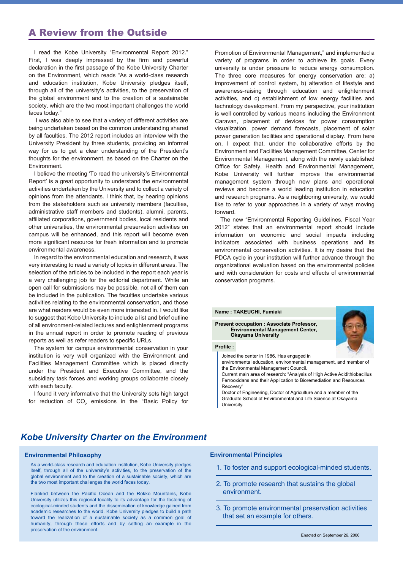## A Review from the Outside

I read the Kobe University "Environmental Report 2012." First, I was deeply impressed by the firm and powerful declaration in the first passage of the Kobe University Charter on the Environment, which reads "As a world-class research and education institution, Kobe University pledges itself, through all of the university's activities, to the preservation of the global environment and to the creation of a sustainable society, which are the two most important challenges the world faces today."

 I was also able to see that a variety of different activities are being undertaken based on the common understanding shared by all faculties. The 2012 report includes an interview with the University President by three students, providing an informal way for us to get a clear understanding of the President's thoughts for the environment, as based on the Charter on the Environment.

I believe the meeting 'To read the university's Environmental Report' is a great opportunity to understand the environmental activities undertaken by the University and to collect a variety of opinions from the attendants. I think that, by hearing opinions from the stakeholders such as university members (faculties, administrative staff members and students), alumni, parents, affiliated corporations, government bodies, local residents and other universities, the environmental preservation activities on campus will be enhanced, and this report will become even more significant resource for fresh information and to promote environmental awareness.

In regard to the environmental education and research, it was very interesting to read a variety of topics in different areas. The selection of the articles to be included in the report each year is a very challenging job for the editorial department. While an open call for submissions may be possible, not all of them can be included in the publication. The faculties undertake various activities relating to the environmental conservation, and those are what readers would be even more interested in. I would like to suggest that Kobe University to include a list and brief outline of all environment-related lectures and enlightenment programs in the annual report in order to promote reading of previous reports as well as refer readers to specific URLs.

The system for campus environmental conservation in your institution is very well organized with the Environment and Facilities Management Committee which is placed directly under the President and Executive Committee, and the subsidiary task forces and working groups collaborate closely with each faculty.

I found it very informative that the University sets high target for reduction of CO<sub>2</sub> emissions in the "Basic Policy for Promotion of Environmental Management," and implemented a variety of programs in order to achieve its goals. Every university is under pressure to reduce energy consumption. The three core measures for energy conservation are: a) improvement of control system, b) alteration of lifestyle and awareness-raising through education and enlightenment activities, and c) establishment of low energy facilities and technology development. From my perspective, your institution is well controlled by various means including the Environment Caravan, placement of devices for power consumption visualization, power demand forecasts, placement of solar power generation facilities and operational display. From here on, I expect that, under the collaborative efforts by the Environment and Facilities Management Committee, Center for Environmental Management, along with the newly established Office for Safety, Health and Environmental Management, Kobe University will further improve the environmental management system through new plans and operational reviews and become a world leading institution in education and research programs. As a neighboring university, we would like to refer to your approaches in a variety of ways moving forward.

The new "Environmental Reporting Guidelines, Fiscal Year 2012" states that an environmental report should include information on economic and social impacts including indicators associated with business operations and its environmental conservation activities. It is my desire that the PDCA cycle in your institution will further advance through the organizational evaluation based on the environmental policies and with consideration for costs and effects of environmental conservation programs.



#### **Profile :**

Joined the center in 1986. Has engaged in

**Present occupation : Associate Professor, Environmental Management Center,**

**Name : TAKEUCHI, Fumiaki**

**Okayama University**

environmental education, environmental management, and member of the Environmental Management Council.

Current main area of research: "Analysis of High Active Acidithiobacillus Ferrooxidans and their Application to Bioremediation and Resources Recovery"

Doctor of Engineering, Doctor of Agriculture and a member of the Graduate School of Environmental and Life Science at Okayama University.

## *Kobe University Charter on the Environment*

#### **Environmental Philosophy**

As a world-class research and education institution, Kobe University pledges itself, through all of the university's activities, to the preservation of the global environment and to the creation of a sustainable society, which are the two most important challenges the world faces today.

Flanked between the Pacific Ocean and the Rokko Mountains, Kobe University utilizes this regional locality to its advantage for the fostering of ecological-minded students and the dissemination of knowledge gained from academic researches to the world. Kobe University pledges to build a path toward the realization of a sustainable society as a common goal of humanity, through these efforts and by setting an example in the preservation of the environment.

#### **Environmental Principles**

- 1. To foster and support ecological-minded students.
- 2. To promote research that sustains the global environment.
- 3. To promote environmental preservation activities that set an example for others.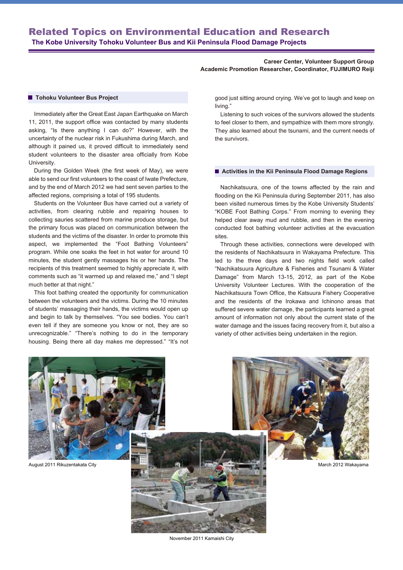#### **Career Center, Volunteer Support Group Academic Promotion Researcher, Coordinator, FUJIMURO Reiji**

#### **Tohoku Volunteer Bus Project**

Immediately after the Great East Japan Earthquake on March 11, 2011, the support office was contacted by many students asking, "Is there anything I can do?" However, with the uncertainty of the nuclear risk in Fukushima during March, and although it pained us, it proved difficult to immediately send student volunteers to the disaster area officially from Kobe University.

During the Golden Week (the first week of May), we were able to send our first volunteers to the coast of Iwate Prefecture, and by the end of March 2012 we had sent seven parties to the affected regions, comprising a total of 195 students.

Students on the Volunteer Bus have carried out a variety of activities, from clearing rubble and repairing houses to collecting sauries scattered from marine produce storage, but the primary focus was placed on communication between the students and the victims of the disaster. In order to promote this aspect, we implemented the "Foot Bathing Volunteers" program. While one soaks the feet in hot water for around 10 minutes, the student gently massages his or her hands. The recipients of this treatment seemed to highly appreciate it, with comments such as "it warmed up and relaxed me," and "I slept much better at that night."

This foot bathing created the opportunity for communication between the volunteers and the victims. During the 10 minutes of students' massaging their hands, the victims would open up and begin to talk by themselves. "You see bodies. You can't even tell if they are someone you know or not, they are so unrecognizable." "There's nothing to do in the temporary housing. Being there all day makes me depressed." "It's not good just sitting around crying. We've got to laugh and keep on living."

Listening to such voices of the survivors allowed the students to feel closer to them, and sympathize with them more strongly. They also learned about the tsunami, and the current needs of the survivors.

#### $\blacksquare$  **Activities in the Kii Peninsula Flood Damage Regions**

Nachikatsuura, one of the towns affected by the rain and flooding on the Kii Peninsula during September 2011, has also been visited numerous times by the Kobe University Students' "KOBE Foot Bathing Corps." From morning to evening they helped clear away mud and rubble, and then in the evening conducted foot bathing volunteer activities at the evacuation sites.

Through these activities, connections were developed with the residents of Nachikatsuura in Wakayama Prefecture. This led to the three days and two nights field work called "Nachikatsuura Agriculture & Fisheries and Tsunami & Water Damage" from March 13-15, 2012, as part of the Kobe University Volunteer Lectures. With the cooperation of the Nachikatsuura Town Office, the Katsuura Fishery Cooperative and the residents of the Irokawa and Ichinono areas that suffered severe water damage, the participants learned a great amount of information not only about the current state of the water damage and the issues facing recovery from it, but also a variety of other activities being undertaken in the region.



November 2011 Kamaishi City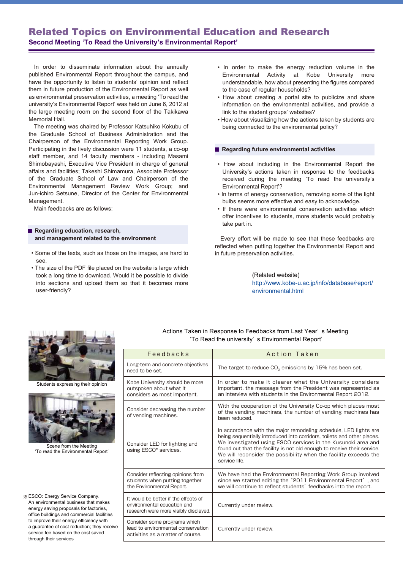# Related Topics on Environmental Education and Research

**Second Meeting 'To Read the University's Environmental Report'**

In order to disseminate information about the annually published Environmental Report throughout the campus, and have the opportunity to listen to students' opinion and reflect them in future production of the Environmental Report as well as environmental preservation activities, a meeting 'To read the university's Environmental Report' was held on June 6, 2012 at the large meeting room on the second floor of the Takikawa Memorial Hall.

The meeting was chaired by Professor Katsuhiko Kokubu of the Graduate School of Business Administration and the Chairperson of the Environmental Reporting Work Group. Participating in the lively discussion were 11 students, a co-op staff member, and 14 faculty members - including Masami Shimobayashi, Executive Vice President in charge of general affairs and facilities; Takeshi Shimamura, Associate Professor of the Graduate School of Law and Chairperson of the Environmental Management Review Work Group; and Jun-ichiro Setsune, Director of the Center for Environmental Management.

Main feedbacks are as follows:

#### **Regarding education, research, and management related to the environment**

- Some of the texts, such as those on the images, are hard to see.
- The size of the PDF file placed on the website is large which took a long time to download. Would it be possible to divide into sections and upload them so that it becomes more user-friendly?
- In order to make the energy reduction volume in the Environmental Activity at Kobe University more understandable, how about presenting the figures compared to the case of regular households?
- How about creating a portal site to publicize and share information on the environmental activities, and provide a link to the student groups' websites?
- How about visualizing how the actions taken by students are being connected to the environmental policy?

#### **Regarding future environmental activities**

- How about including in the Environmental Report the University's actions taken in response to the feedbacks received during the meeting 'To read the university's Environmental Report'?
- In terms of energy conservation, removing some of the light bulbs seems more effective and easy to acknowledge.
- If there were environmental conservation activities which offer incentives to students, more students would probably take part in.

Every effort will be made to see that these feedbacks are reflected when putting together the Environmental Report and in future preservation activities.

> (Related website) http://www.kobe-u.ac.jp/info/database/report/ environmental.html



Students expressing their opinion



Scene from the Meeting 'To read the Environmental Report'

※ ESCO: Energy Service Company. An environmental business that makes energy saving proposals for factories, office buildings and commercial facilities to improve their energy efficiency with a guarantee of cost reduction; they receive service fee based on the cost saved through their services

#### Actions Taken in Response to Feedbacks from Last Year' s Meeting 'To Read the university' s Environmental Report'

| Feedbacks                                                                                                    | Action Taken                                                                                                                                                                                                                                                                                                                                                                |
|--------------------------------------------------------------------------------------------------------------|-----------------------------------------------------------------------------------------------------------------------------------------------------------------------------------------------------------------------------------------------------------------------------------------------------------------------------------------------------------------------------|
| Long-term and concrete objectives<br>need to be set.                                                         | The target to reduce $CO2$ emissions by 15% has been set.                                                                                                                                                                                                                                                                                                                   |
| Kobe University should be more<br>outspoken about what it<br>considers as most important.                    | In order to make it clearer what the University considers<br>important, the message from the President was represented as<br>an interview with students in the Environmental Report 2012.                                                                                                                                                                                   |
| Consider decreasing the number<br>of vending machines.                                                       | With the cooperation of the University Co-op which places most<br>of the vending machines, the number of vending machines has<br>been reduced.                                                                                                                                                                                                                              |
| Consider LED for lighting and<br>using ESCO* services.                                                       | In accordance with the major remodeling schedule, LED lights are<br>being sequentially introduced into corridors, toilets and other places.<br>We investigated using ESCO services in the Kusunoki area and<br>found out that the facility is not old enough to receive their service.<br>We will reconsider the possibility when the facility exceeds the<br>service life. |
| Consider reflecting opinions from<br>students when putting together<br>the Environmental Report.             | We have had the Environmental Reporting Work Group involved<br>since we started editing the "2011 Environmental Report", and<br>we will continue to reflect students' feedbacks into the report.                                                                                                                                                                            |
| It would be better if the effects of<br>environmental education and<br>research were more visibly displayed. | Currently under review.                                                                                                                                                                                                                                                                                                                                                     |
| Consider some programs which<br>lead to environmental conservation<br>activities as a matter of course.      | Currently under review.                                                                                                                                                                                                                                                                                                                                                     |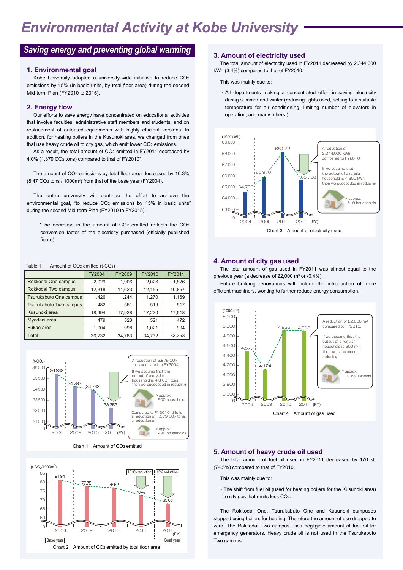# *Environmental Activity at Kobe University*

# *Saving energy and preventing global warming* **3. Amount of electricity used**

#### **1. Environmental goal**

Kobe University adopted a university-wide initiative to reduce CO2 emissions by 15% (in basic units, by total floor area) during the second Mid-term Plan (FY2010 to 2015).

#### **2. Energy flow**

Our efforts to save energy have concentrated on educational activities that involve faculties, administrative staff members and students, and on replacement of outdated equipments with highly efficient versions. In addition, for heating boilers in the Kusunoki area, we changed from ones that use heavy crude oil to city gas, which emit lower CO2 emissions.

As a result, the total amount of CO<sub>2</sub> emitted in FY2011 decreased by 4.0% (1,379 CO2 tons) compared to that of FY2010\*.

The amount of CO2 emissions by total floor area decreased by 10.3% (8.47 CO2 tons / 1000m2 ) from that of the base year (FY2004).

The entire university will continue the effort to achieve the environmental goal, "to reduce CO<sub>2</sub> emissions by 15% in basic units' during the second Mid-term Plan (FY2010 to FY2015).

\*The decrease in the amount of CO2 emitted reflects the CO2 conversion factor of the electricity purchased (officially published figure).

#### Table 1 Amount of CO<sub>2</sub> emitted (t-CO<sub>2</sub>)

|                        | FY2004 | FY2009 | FY2010 | FY2011 |
|------------------------|--------|--------|--------|--------|
| Rokkodai One campus    | 2.029  | 1,906  | 2,026  | 1,826  |
| Rokkodai Two campus    | 12,318 | 11,623 | 12,155 | 10,857 |
| Tsurukabuto One campus | 1,426  | 1,244  | 1,270  | 1,169  |
| Tsurukabuto Two campus | 482    | 561    | 519    | 517    |
| Kusunoki area          | 18.494 | 17,928 | 17,220 | 17,518 |
| Myodani area           | 479    | 523    | 521    | 472    |
| Fukae area             | 1.004  | 998    | 1.021  | 994    |
| Total                  | 36,232 | 34,783 | 34,732 | 33,353 |



#### Chart 1 Amount of CO2 emitted



The total amount of electricity used in FY2011 decreased by 2,344,000 kWh (3.4%) compared to that of FY2010.

This was mainly due to:

・All departments making a concentrated effort in saving electricity during summer and winter (reducing lights used, setting to a suitable temperature for air conditioning, limiting number of elevators in operation, and many others.)



#### **4. Amount of city gas used**

The total amount of gas used in FY2011 was almost equal to the previous year (a decrease of 22,000  $\mathrm{m}^3$  or -0.4%).

Future building renovations will include the introduction of more efficient machinery, working to further reduce energy consumption.



#### **5. Amount of heavy crude oil used**

The total amount of fuel oil used in FY2011 decreased by 170 kL (74.5%) compared to that of FY2010.

This was mainly due to:

• The shift from fuel oil (used for heating boilers for the Kusunoki area) to city gas that emits less CO2.

The Rokkodai One, Tsurukabuto One and Kusunoki campuses stopped using boilers for heating. Therefore the amount of use dropped to zero. The Rokkodai Two campus uses negligible amount of fuel oil for emergency generators. Heavy crude oil is not used in the Tsurukabuto Two campus.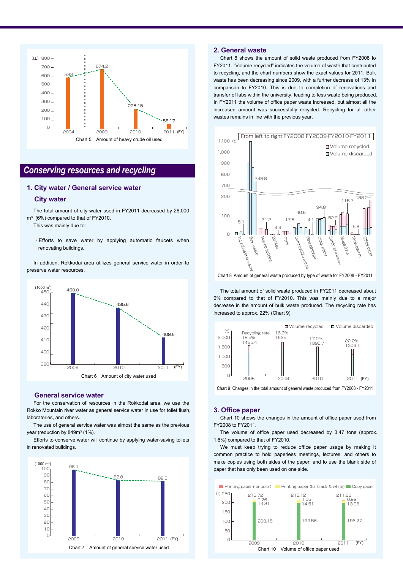

## *Conserving resources and recycling*

#### **1. City water / General service water**

#### **City water**

The total amount of city water used in FY2011 decreased by 26,000 m3 (6%) compared to that of FY2010.

This was mainly due to:

・Efforts to save water by applying automatic faucets when renovating buildings.

In addition, Rokkodai area utilizes general service water in order to preserve water resources.



#### **General service water**

For the conservation of resources in the Rokkodai area, we use the Rokko Mountain river water as general service water in use for toilet flush, laboratories, and others.

The use of general service water was almost the same as the previous year (reduction by 849m<sup>3</sup> (1%).

Efforts to conserve water will continue by applying water-saving toilets in renovated buildings.



#### **2. General waste**

Chart 8 shows the amount of solid waste produced from FY2008 to FY2011. "Volume recycled" indicates the volume of waste that contributed to recycling, and the chart numbers show the exact values for 2011. Bulk waste has been decreasing since 2009, with a further decrease of 13% in comparison to FY2010. This is due to completion of renovations and transfer of labs within the university, leading to less waste being produced. In FY2011 the volume of office paper waste increased, but almost all the increased amount was successfully recycled. Recycling for all other wastes remains in line with the previous year.



The total amount of solid waste produced in FY2011 decreased about 6% compared to that of FY2010. This was mainly due to a major decrease in the amount of bulk waste produced. The recycling rate has increased to approx. 22% (Chart 9).



Chart 9 Changes in the total amount of general waste produced from FY2008 - FY2011

#### **3. Office paper**

Chart 10 shows the changes in the amount of office paper used from FY2008 to FY2011.

The volume of office paper used decreased by 3.47 tons (approx. 1.6%) compared to that of FY2010.

We must keep trying to reduce office paper usage by making it common practice to hold paperless meetings, lectures, and others to make copies using both sides of the paper, and to use the blank side of paper that has only been used on one side.